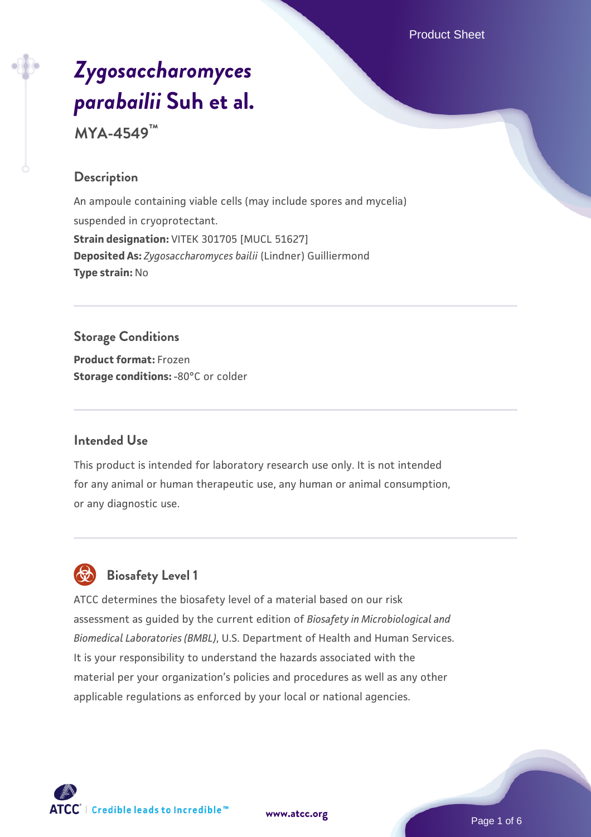Product Sheet

# *[Zygosaccharomyces](https://www.atcc.org/products/mya-4549) [parabailii](https://www.atcc.org/products/mya-4549)* **[Suh et al.](https://www.atcc.org/products/mya-4549)**

**MYA-4549™**

#### **Description**

An ampoule containing viable cells (may include spores and mycelia) suspended in cryoprotectant. **Strain designation:** VITEK 301705 [MUCL 51627] **Deposited As:** *Zygosaccharomyces bailii* (Lindner) Guilliermond **Type strain:** No

# **Storage Conditions**

**Product format:** Frozen **Storage conditions: -80°C or colder** 

#### **Intended Use**

This product is intended for laboratory research use only. It is not intended for any animal or human therapeutic use, any human or animal consumption, or any diagnostic use.

# **Biosafety Level 1**

ATCC determines the biosafety level of a material based on our risk assessment as guided by the current edition of *Biosafety in Microbiological and Biomedical Laboratories (BMBL)*, U.S. Department of Health and Human Services. It is your responsibility to understand the hazards associated with the material per your organization's policies and procedures as well as any other applicable regulations as enforced by your local or national agencies.



**[www.atcc.org](http://www.atcc.org)**

Page 1 of 6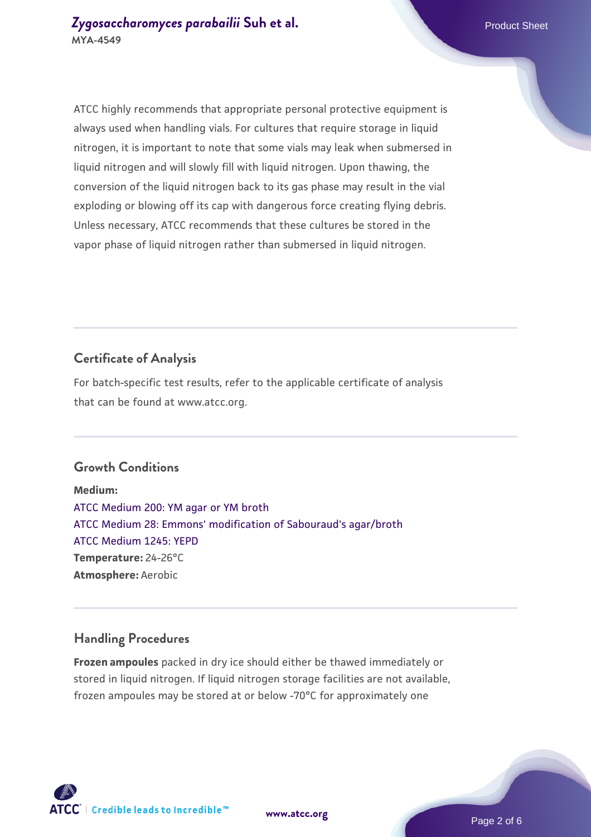ATCC highly recommends that appropriate personal protective equipment is always used when handling vials. For cultures that require storage in liquid nitrogen, it is important to note that some vials may leak when submersed in liquid nitrogen and will slowly fill with liquid nitrogen. Upon thawing, the conversion of the liquid nitrogen back to its gas phase may result in the vial exploding or blowing off its cap with dangerous force creating flying debris. Unless necessary, ATCC recommends that these cultures be stored in the vapor phase of liquid nitrogen rather than submersed in liquid nitrogen.

### **Certificate of Analysis**

For batch-specific test results, refer to the applicable certificate of analysis that can be found at www.atcc.org.

#### **Growth Conditions**

**Medium:**  [ATCC Medium 200: YM agar or YM broth](https://www.atcc.org/-/media/product-assets/documents/microbial-media-formulations/2/0/0/atcc-medium-200.pdf?rev=ac40fd74dc13433a809367b0b9da30fc) [ATCC Medium 28: Emmons' modification of Sabouraud's agar/broth](https://www.atcc.org/-/media/product-assets/documents/microbial-media-formulations/2/8/atcc-medium-28.pdf?rev=0da0c58cc2a343eeae735016b70809bb) [ATCC Medium 1245: YEPD](https://www.atcc.org/-/media/product-assets/documents/microbial-media-formulations/1/2/4/5/atcc-medium-1245.pdf?rev=705ca55d1b6f490a808a965d5c072196) **Temperature:** 24-26°C **Atmosphere:** Aerobic

#### **Handling Procedures**

**Frozen ampoules** packed in dry ice should either be thawed immediately or stored in liquid nitrogen. If liquid nitrogen storage facilities are not available, frozen ampoules may be stored at or below -70°C for approximately one





**[www.atcc.org](http://www.atcc.org)**

Page 2 of 6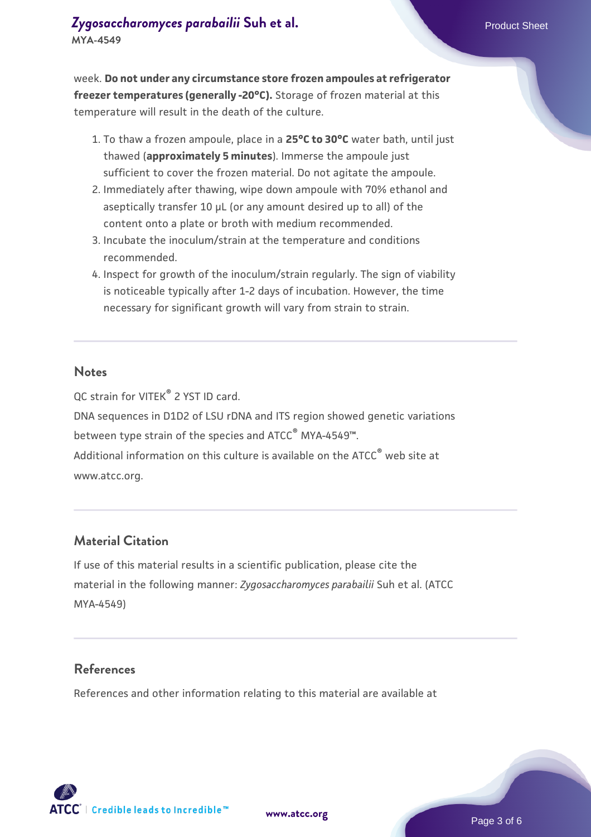week. **Do not under any circumstance store frozen ampoules at refrigerator freezer temperatures (generally -20°C).** Storage of frozen material at this temperature will result in the death of the culture.

- 1. To thaw a frozen ampoule, place in a **25°C to 30°C** water bath, until just thawed (**approximately 5 minutes**). Immerse the ampoule just sufficient to cover the frozen material. Do not agitate the ampoule.
- 2. Immediately after thawing, wipe down ampoule with 70% ethanol and aseptically transfer 10 µL (or any amount desired up to all) of the content onto a plate or broth with medium recommended.
- Incubate the inoculum/strain at the temperature and conditions 3. recommended.
- 4. Inspect for growth of the inoculum/strain regularly. The sign of viability is noticeable typically after 1-2 days of incubation. However, the time necessary for significant growth will vary from strain to strain.

#### **Notes**

QC strain for VITEK® 2 YST ID card.

DNA sequences in D1D2 of LSU rDNA and ITS region showed genetic variations between type strain of the species and ATCC® MYA-4549™.

Additional information on this culture is available on the ATCC<sup>®</sup> web site at www.atcc.org.

#### **Material Citation**

If use of this material results in a scientific publication, please cite the material in the following manner: *Zygosaccharomyces parabailii* Suh et al. (ATCC MYA-4549)

#### **References**

References and other information relating to this material are available at

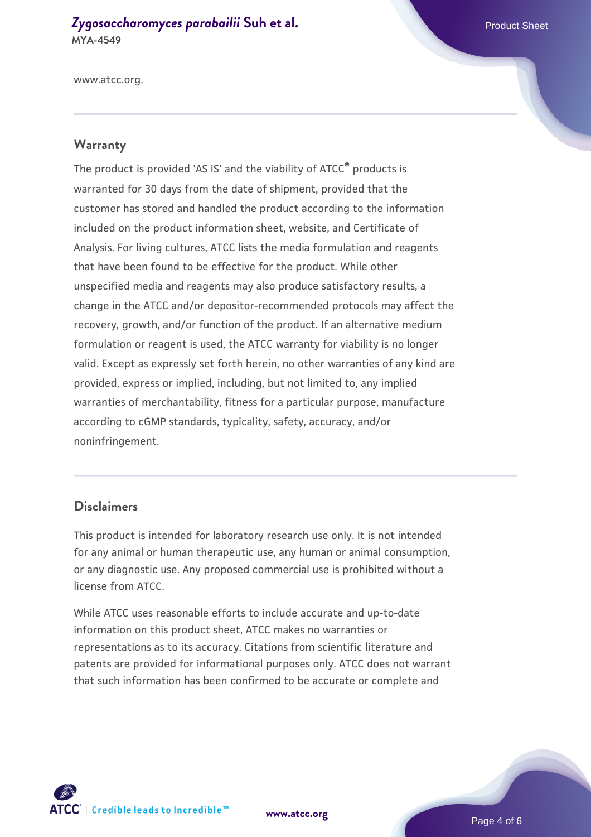#### **[Zygosaccharomyces parabailii](https://www.atcc.org/products/mya-4549) [Suh et al.](https://www.atcc.org/products/mya-4549)** Product Sheet **MYA-4549**

www.atcc.org.

#### **Warranty**

The product is provided 'AS IS' and the viability of ATCC® products is warranted for 30 days from the date of shipment, provided that the customer has stored and handled the product according to the information included on the product information sheet, website, and Certificate of Analysis. For living cultures, ATCC lists the media formulation and reagents that have been found to be effective for the product. While other unspecified media and reagents may also produce satisfactory results, a change in the ATCC and/or depositor-recommended protocols may affect the recovery, growth, and/or function of the product. If an alternative medium formulation or reagent is used, the ATCC warranty for viability is no longer valid. Except as expressly set forth herein, no other warranties of any kind are provided, express or implied, including, but not limited to, any implied warranties of merchantability, fitness for a particular purpose, manufacture according to cGMP standards, typicality, safety, accuracy, and/or noninfringement.

#### **Disclaimers**

This product is intended for laboratory research use only. It is not intended for any animal or human therapeutic use, any human or animal consumption, or any diagnostic use. Any proposed commercial use is prohibited without a license from ATCC.

While ATCC uses reasonable efforts to include accurate and up-to-date information on this product sheet, ATCC makes no warranties or representations as to its accuracy. Citations from scientific literature and patents are provided for informational purposes only. ATCC does not warrant that such information has been confirmed to be accurate or complete and



**[www.atcc.org](http://www.atcc.org)**

Page 4 of 6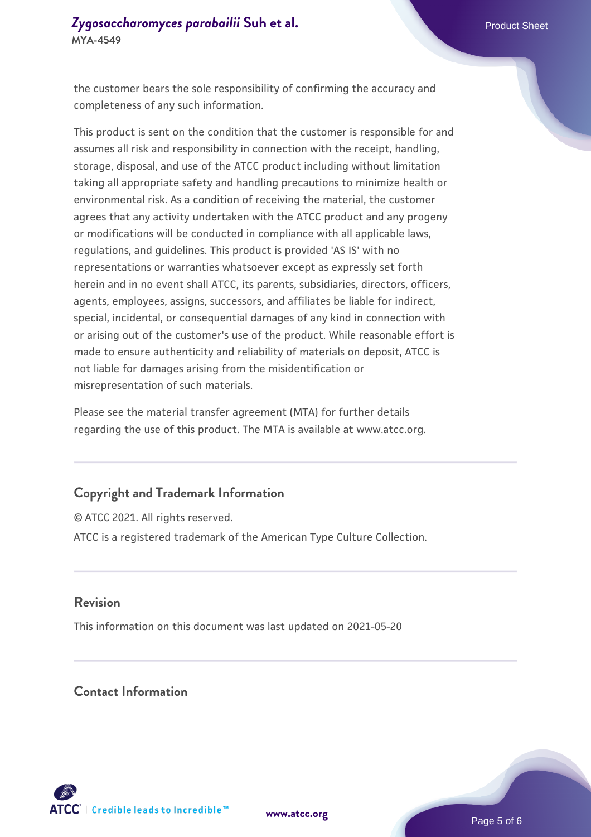the customer bears the sole responsibility of confirming the accuracy and completeness of any such information.

This product is sent on the condition that the customer is responsible for and assumes all risk and responsibility in connection with the receipt, handling, storage, disposal, and use of the ATCC product including without limitation taking all appropriate safety and handling precautions to minimize health or environmental risk. As a condition of receiving the material, the customer agrees that any activity undertaken with the ATCC product and any progeny or modifications will be conducted in compliance with all applicable laws, regulations, and guidelines. This product is provided 'AS IS' with no representations or warranties whatsoever except as expressly set forth herein and in no event shall ATCC, its parents, subsidiaries, directors, officers, agents, employees, assigns, successors, and affiliates be liable for indirect, special, incidental, or consequential damages of any kind in connection with or arising out of the customer's use of the product. While reasonable effort is made to ensure authenticity and reliability of materials on deposit, ATCC is not liable for damages arising from the misidentification or misrepresentation of such materials.

Please see the material transfer agreement (MTA) for further details regarding the use of this product. The MTA is available at www.atcc.org.

#### **Copyright and Trademark Information**

© ATCC 2021. All rights reserved. ATCC is a registered trademark of the American Type Culture Collection.

#### **Revision**

This information on this document was last updated on 2021-05-20

#### **Contact Information**